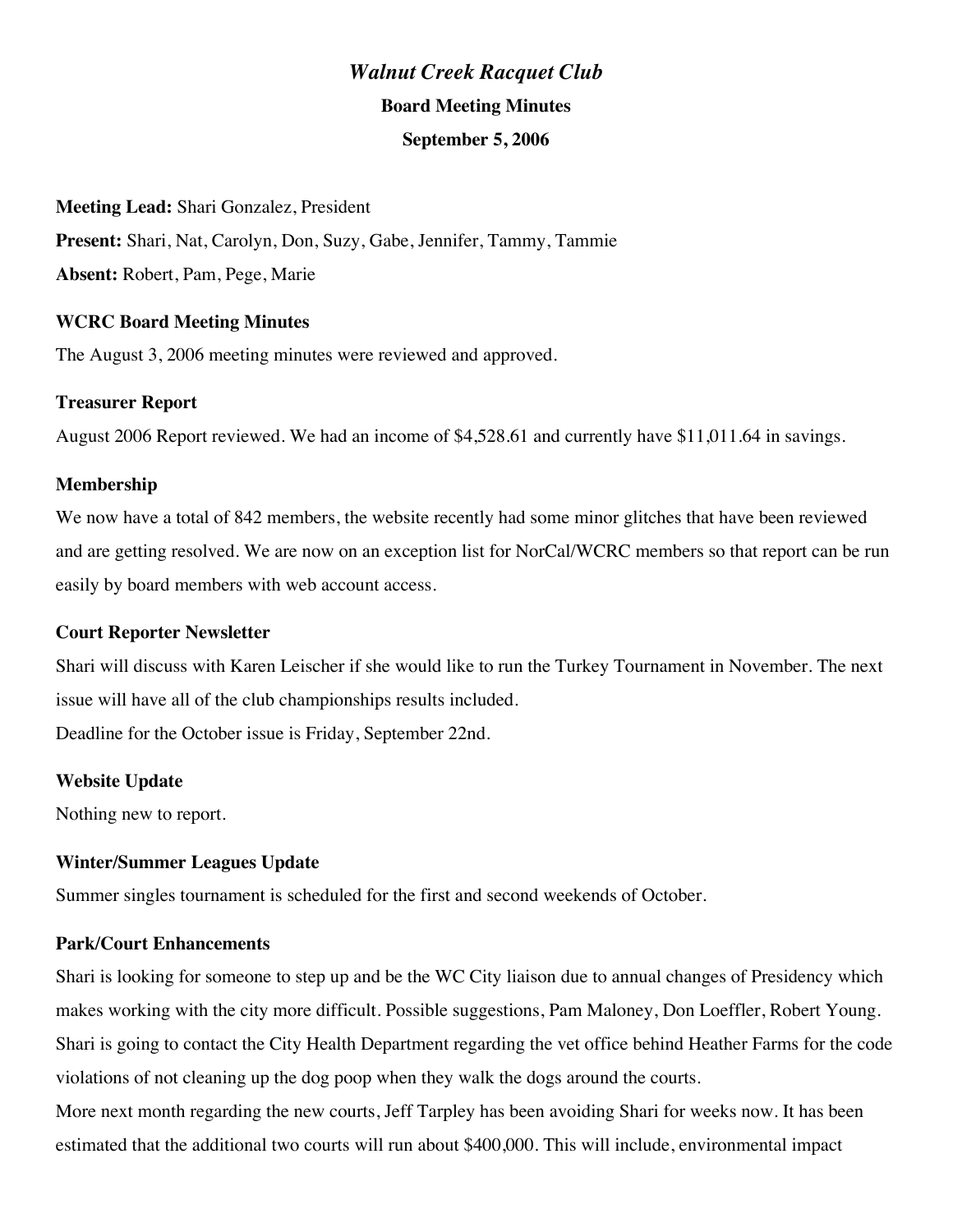# *Walnut Creek Racquet Club* **Board Meeting Minutes September 5, 2006**

#### **Meeting Lead:** Shari Gonzalez, President

**Present:** Shari, Nat, Carolyn, Don, Suzy, Gabe, Jennifer, Tammy, Tammie **Absent:** Robert, Pam, Pege, Marie

## **WCRC Board Meeting Minutes**

The August 3, 2006 meeting minutes were reviewed and approved.

## **Treasurer Report**

August 2006 Report reviewed. We had an income of \$4,528.61 and currently have \$11,011.64 in savings.

## **Membership**

We now have a total of 842 members, the website recently had some minor glitches that have been reviewed and are getting resolved. We are now on an exception list for NorCal/WCRC members so that report can be run easily by board members with web account access.

### **Court Reporter Newsletter**

Shari will discuss with Karen Leischer if she would like to run the Turkey Tournament in November. The next issue will have all of the club championships results included.

Deadline for the October issue is Friday, September 22nd.

### **Website Update**

Nothing new to report.

### **Winter/Summer Leagues Update**

Summer singles tournament is scheduled for the first and second weekends of October.

### **Park/Court Enhancements**

Shari is looking for someone to step up and be the WC City liaison due to annual changes of Presidency which makes working with the city more difficult. Possible suggestions, Pam Maloney, Don Loeffler, Robert Young. Shari is going to contact the City Health Department regarding the vet office behind Heather Farms for the code violations of not cleaning up the dog poop when they walk the dogs around the courts.

More next month regarding the new courts, Jeff Tarpley has been avoiding Shari for weeks now. It has been estimated that the additional two courts will run about \$400,000. This will include, environmental impact